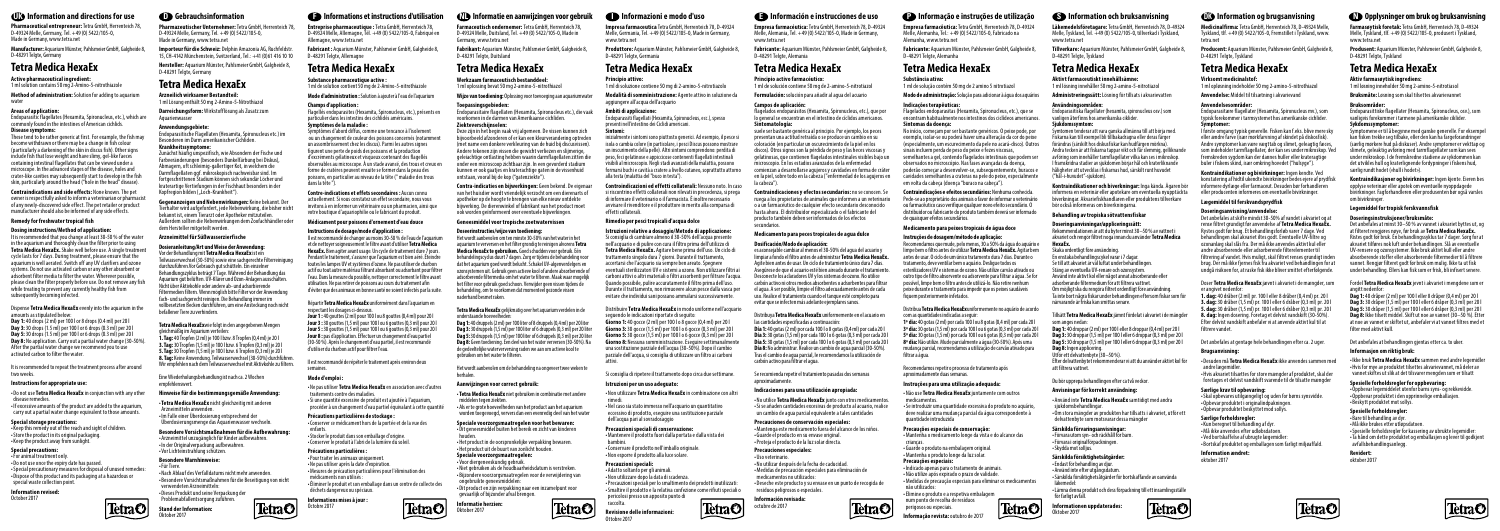**Pharmazeutischer Unternehmer:** Tetra GmbH, Herrenteich 78, D-49324 Melle, Germany, Tel. +49 (0) 5422/105-0, Made in Germany, www.tetra.net

**Empresa farmacéutica:** Tetra GmbH, Herrenteich 78, D-49324 Melle, Alemania, Tel. +49 (0) 5422/105-0, Made in Germany, www.tetra.net

**Pharmaceutical entrepreneur:** Tetra GmbH, Herrenteich 78, D-49324 Melle, Germany, Tel. +49 (0) 5422/105-0, Made in Germany, www.tetra.net

**Läkemedelsföretagare:** Tetra GmbH, Herrenteich 78, D-49324 Melle, Tyskland, Tel. +49 (0) 5422/105-0, tillverkad i Tyskland, www.tetra.net

**Entreprise pharmaceutique :** Tetra GmbH, Herrenteich 78, D-49324 Melle, Allemagne, Tél. +49 (0) 5422/105-0, Fabriqué en Allemagne, www.tetra.net

**Farmaceutisch ondernemer:** Tetra GmbH, Herrenteich 78, D-49324 Melle, Duitsland, Tel. +49 (0) 5422/105-0, Made in Germany, www.tetra.net

**Hersteller:** Aquarium Münster, Pahlsmeier GmbH, Galgheide 8, D-48291 Telgte, Germany **Tetra Medica HexaEx** Alersteller: Aquarium Münster, Pahlsmeier GmbH, Galgheide 8, Tetra Medica HexaEx Tetra Medica HexaEx Tetra Medica HexaEx Tetra Medica HexaEx Tetra Medica HexaEx Tetra Medica HexaEx Tetra Medica HexaEx

**Impresa farmaceutica** Tetra GmbH, Herrenteich 78, D-49324 Melle, Germania, Tel. +49 (0) 5422/105-0, Made in Germany,

www.tetra.net

**Empresa farmacêutica:** Tetra GmbH, Herrenteich 78, D-49324 Melle, Alemanha, Tel.: +49 (0) 5422/105-0, Fabricado na Alemanha, www.tetra.net

**Medicinalfirma:** Tetra GmbH, Herrenteich 78, D-49324 Melle, Tyskland, tlf. +49 (0) 5422/105-0, Fremstillet i Tyskland, www. tetra.net

**Importeur für die Schweiz:** Delphin Amazonia AG, Ruchfeldstr. 15, CH-4142 Münchenstein, Switzerland, Tel.: +41 (0)61 416 10 10

1 ml solution contains 50 mg 2-Amino-5-nitrothiazole **Substance pharmaceutique active : Substance pharmaceutique active : Tetra Medica HexaEx**<br>2 ml de solution contient 50 mg 2-Amino-5-nitrothiazole **1 mage 12 ml de so** 1 ml de solution contient 50 mg de 2-Amino-5-nitrothiazole

**Manufacturer:** Aquarium Münster, Pahlsmeier GmbH, Galgheide 8, D-48291 Telgte, Germany

**Fabricant :** Aquarium Münster, Pahlsmeier GmbH, Galgheide 8, D-48291 Telgte, Allemagne

**Fabrikant:** Aquarium Münster, Pahlsmeier GmbH, Galgheide 8, D-48291 Telgte, Duitsland

D-48291 Telgte, Germania

Zunächst häufig unspezifisch, wie Absondern der Fische und Farbveränderungen (besonders Dunkelfärbung bei Diskus), Abmagern, oft schleimig-gallertiger Kot, in welchem die Darmflagellaten ggf. mikroskopisch nachweisbar sind. Im fortgeschrittenen Stadium können sich sekundär Löcher und kraterartige Vertiefungen in der Fischhaut besonders in der Kopfregion bilden ("Loch-Krankheit").

**Produttore:** Aquarium Münster, Pahlsmeier GmbH, Galgheide 8, **Fabricante:** Aquarium Münster, Pahlsmeier GmbH, Galgheide 8, D-48291 Telgte, Alemania

**Fabricante:** Aquarium Münster, Pahlsmeier GmbH, Galgheide 8, D-48291 Telgte, Alemanha

**Tillverkare:** Aquarium Münster, Pahlsmeier GmbH, Galgheide 8, D-48291 Telgte, Tyskland

**Producent:** Aquarium Münster, Pahlsmeier GmbH, Galgheide 8, D-48291 Telgte, Tyskland

# **Tetra Medica HexaEx**

**Darreichungsform:** Wirkstofflösung als Zusatz zum Aquarienwasser

**Method of administration:** Solution for adding to aquarium water

aggiungere all'acqua dell'acquario

1 ml Lösung enthält 50 mg 2-Amino-5-Nitrothiazol

# **Active pharmaceutical ingredient:**

**Werkzaam farmaceutisch bestanddeel:** 

1 ml oplossing bevat 50 mg 2-amino-5-nitrothiazol

Mode aladministration : Solution à ajouter à lean de ala de laquarium Wijze van toediening: Oplossing voor toevoeging aan aquarium water Modalità di somministrazione: Agente a ana dicionara ana dicionara aguarium and a mod

**Principio attivo:** 

1 ml di soluzione contiene 50 mg di 2-amino-5-nitrotiazolo

# **Principio activo farmacéutico:**

1 ml de solución contiene 50 mg de 2-amino-5-nitrotiazol

### **Substância ativa:**  1 ml de solução contém 50 mg de 2 amino 5 nitrotiazol

**Aktivt farmaceutiskt innehållsämne:** 1 ml lösning innehåller 50 mg 2-amino-5-nitrotiazol

**Virksomt medicinalstof:**  1 ml opløsning indeholder 50 mg 2-amino-5-nitrothiazol

# **Anwendungsgebiete:**

Endoparasitische Flagellaten (Hexamita, Spironucleus etc.) im Besonderen im Darm amerikanischer Cichliden. **Krankheitssymptome:** 

.<br>vmtomen tenderar att vara ganska allmänna till att böria med Fiskarna kan till exempel bli tillbakadragna eller deras färger förändras (särskilt hos diskusfiskar kan hudfärgen mörkna). Andra tecken är att fiskarna tappar vikt och får slemmig, gelliknande avföring som innehåller tarmflagellater vilka kan ses i mikroskop. I framskridna stadier av sjukdomen börjar hål och kraterliknande håligheter att utvecklas i fiskarnas hud, särskilt runt huvudet ("hål-i-huvudet"-sjukdom).

# **Areas of application:**

Endoparasitic flagellates (Hexamita, Spironucleus, etc.), which are commonly found in the intestines of American cichlids.

# **Disease symptoms:**

These tend to be rather generic at first. For example, the fish may become withdrawn or there may be a change in fish colour (particularly a darkening of the skin in discus fish). Other signs include fish that lose weight and have slimy, gel-like faeces containing intestinal flagellates that can be viewed under a microscope. In the advanced stages of the disease, holes and crater-like cavities may subsequently start to develop in the fish skin, particularly around the head ("hole in the head" disease).

## **Champs d'application :**

Flagellés endoparasites (Hexamita, Spironucleus, etc.), présents en particulier dans les intestins des cichlidés américains. **Symptômes de la maladie :** 

Symptômes d'abord diffus, comme une tencance à l'isolement ou un changement de couleur des poissons concernés (notamment un assombrissement chez les discus). Parmi les autres signes figurent une perte de poids des poissons et la production d'excréments gélatineux et visqueux contenant des flagellés observables au microscope. À un stade avancé, des trous et creux en forme de cratères peuvent ensuite se former dans la peau des poissons, en particulier au niveau de la tête (" maladie des trous dans la tête ").

## **Toepassingsgebieden:**

Endoparasitaire flagellaten (Hexamita, Spironucleus etc.), die vaak voorkomen in de darmen van Amerikaanse cichliden. **Ziekteverschijnselen:** 

Deze zijn in het begin vaak vrij algemeen. De vissen kunnen zich bijvoorbeeld afzonderen of er kan een kleurverandering optreden (met name een donkere verkleuring van de huid bij discusvissen). Andere tekenen zijn vissen die gewicht verliezen en slijmerige, geleiachtige ontlasting hebben waarin darmflagellaten zitten die onder een microscoop zichtbaar zijn. In een gevorderd stadium kunnen er ook gaatjes en kraterachtige gaten in de vissenhuid ontstaan, vooral bij de kop ("gatenziekte").

**Ambiti di applicazione:** 

Endoparassiti flagellati (Hexamita, Spironucleus, ecc.), spesso

presenti nell'intestino dei Ciclidi americani.

**Sintomi:** 

inizialmente i sintomi sono piuttosto generici. Ad esempio, il pesce si isola o cambia colore (in particolare, i pesci Discus possono mostrare un inscurimento della pelle). Altri sintomi comprendono: perdita di peso, feci gelatinose e appiccicose contenenti flagellati intestinali visibili al microscopio. Negli stadi avanzati della malattia, possono formarsi buchi e cavità a cratere a livello cutaneo, soprattutto attorno

alla testa (malattia del "buco in testa").

### **Campos de aplicación:**

flagelados endoparásitos (Hexamita, Spironucleus, etc.), que por lo general se encuentran en el intestino de cíclidos americanos. **Sintomatología:** 

suele ser bastante genérica al principio. Por ejemplo, los peces presentan una actitud retraída o se produce un cambio en su coloración (en particular un oscurecimiento de la piel en los discos). Otros signos son la pérdida de peso y las heces viscosas y gelatinosas, que contienen flagelados intestinales visibles bajo un microscopio. En los estadios avanzados de la enfermedad comienzan a desarrollarse agujeros y cavidades en forma de cráter en la piel, sobre todo en la cabeza ("enfermedad de los agujeros en la cabeza").

# **Indicações terapêuticas:**

Flagelados endoparasitas (Hexamita, Spironucleus, etc.), que se encontram habitualmente nos intestinos dos ciclídeos americanos. **Sintomas da doença:** 

No início, começam por ser bastante genéricos. O peixe pode, por exemplo, isolar-se ou poderá haver uma alteração da cor do peixe (especialmente, um escurecimento da pele no acará-disco). Outros sinais incluem perda de peso do peixe e fezes viscosas, semelhantes a gel, contendo flagelados intestinais que podem ser observados no microscópio. Nas fases avançadas da doença, poderão começar a desenvolver-se, subsequentemente, buracos e cavidades semelhantes a crateras na pele do peixe, especialmente em volta da cabeça (doença "buraco na cabeça").

# **Användningsområden:**

Endoparasitiska flagellater (hexamita, spironucleus osv.) som vanligen återfinns hos amerikanska ciklider. **Sjukdomssymtom:**

### **Anvendelsesområder:**

Endoparasitære flagellater (Hexamita, Spironucleus mv.), som typisk forekommer i tarmsystemet hos amerikanske cichlider. **Symptomer:** 

I første omgang typisk generelle. Fisken kan f.eks. blive mere sky eller ændre farve (især mørkfarvning af skindet på diskosfisk). Andre symptomer kan være vægttab og slimet, geleagtig fæces, som indeholder tarmflagellater, der kan ses under mikroskop. Ved fremskreden sygdom kan der dannes huller eller krateragtige buler i fiskens skind, især omkring hovedet ("hulsyge").

**Gegenanzeigen und Nebenwirkungen:** Keine bekannt. Der Tierhalter wird aufgefordert, jede Nebenwirkung, die bisher nicht bekannt ist, einem Tierarzt oder Apotheker mitzuteilen. Remedy for freshwater tropical fish Außerdem sollten die Nebenwirkungen dem Zoofachhändler oder Médicament pour poissons d'ornement d'eau douce Geneesmiddel voor tropische zoetwatervissen Rimedio pe dem Hersteller mitgeteilt werden.

**Contraindications and side effects:** None known. The pet owner is respectfully asked to inform a veterinarian or pharmacist of any newly-discovered side effect. The pet retailer or product manufacturer should also be informed of any side effects.

**Contre-indications et effets secondaires :** Aucun connu actuellement. Si vous constatez un effet secondaire, nous vous invitons à en informer un vétérinaire ou un pharmacien, ainsi que votre boutique d'aquariophilie ou le fabricant du produit.

**Contra-indicaties en bijwerkingen:** Geen bekend. De eigenaar van het huisdier wordt vriendelijk verzocht om een dierenarts of apotheker op de hoogte te brengen van elke nieuw ontdekte bijwerking. De dierenwinkel of fabrikant van het product moet ook worden geïnformeerd over eventuele bijwerkingen.

**Controindicazioni ed effetti collaterali:** Nessuno noto. In caso si riscontrino effetti collaterali non rilevati in precedenza, si prega di informare il veterinario o il farmacista. È inoltre necessario avvisare il rivenditore e il produttore in merito alla comparsa di

> Doser **Tetra Medica HexaEx** jævnt i akvariet i de mængder, som er angivet nedenfo

**1. dag:** 40 dråber (2 ml) pr. 100 l eller 8 dråber (0,4 ml) pr. 20 l **3. dag:** 30 dråber (1,5 ml) pr. 100 l eller 6 dråber (0,3 ml) pr. 20 l **5. dag:** 30 dråber (1,5 ml) pr. 100 l eller 6 dråber (0,3 ml) pr. 20 l **8. dag:** Ingen dosering. Foretag et delvist vandskift (30-50%). Efter delvist vandskift anbefaler vi at anvende aktivt kul til at filtrere vande

effetti collaterali.

TetraO|

**Contraindicaciones y efectos secundarios:** no se conocen. Se ruega a los propietarios de animales que informen a un veterinario o a un farmacéutico de cualquier efecto secundario desconocido hasta ahora. El distribuidor especializado o el fabricante del producto también deben ser informados de los efectos secundarios.

## **Contraindicações e efeitos secundários:** Nenhuma conhecida. Pede-se ao proprietário dos animais o favor de informar o veterinário ou farmacêutico caso verifique qualquer novo efeito secundário. O distribuidor ou fabricante do produto também deverá ser informado de quaisquer efeitos secundários.

**Kontraindikationer och biverkningar:** Inga kända. Ägaren bör informera en veterinär eller apotekare om eventuella nyupptäckta biverkningar. Akvariefiskhandlaren eller produktens tillverkare bör också informeras om biverkningarna.

**Kontraindikationer og bivirkninger:** Ingen kendte. Ved konstatering af hidtil ukendte bivirkninger bedes ejere af prydfisk informere dyrlæge eller farmaceut. Desuden bør forhandleren eller producenten informeres om eventuelle bivirkninger.

## **Arzneimittel für Süßwasserzierfische**

### **Medicamento para peces tropicales de agua dulce**

# **Medicamento para peixes tropicais de água doce**

# **Behandling av tropiska sötvattensfiskar**

# **Lægemiddel til ferskvandsprydfisk**

### **Dosieranleitung/Art und Weise der Anwendung:**  Vor der Behandlung mit **Tetra Medica HexaEx** ist ein

Teilwasserwechsel (30-50%) sowie eine sachgerechte Filterreinigung durchzuführen.Vor Gebrauch gut schütteln. Ein einzelner Behandlungszyklus beträgt 7 Tage. Während der Behandlung das Aquarium gut belüften. UV-Klärer und Ozon-Anlagen ausschalten. Nicht über Aktivkohle oder andere ab- und adsorbierende Filtermedien filtern. Wenn möglich bitte Filter vor der Anwendung fach- und sachgerecht reinigen. Die Behandlung immer im vollbesetzten Becken durchführen, um eine Ansteckung noch nicht befallener Tiere zu verhindern.

**Tetra Medica HexaEx**wie folgt in den angegebenen Mengen gleichmäßig im Aquarium verteilen:

**1. Tag:** 40 Tropfen (2 ml) je 100 l bzw. 8 Tropfen (0,4 ml) je 20 l **3. Tag:** 30 Tropfen (1,5 ml) je 100 l bzw. 6 Tropfen (0,3 ml) je 20 l **5. Tag:** 30 Tropfen (1,5 ml) je 100 l bzw. 6 Tropfen (0,3 ml) je 20 l **8. Tag:** Keine Anwendung. Teilwasserwechsel (30-50%) durchführen. Wir empfehlen nach dem Teilwasserwechsel mit Aktivkohle zu filtern.

Eine Wiederholungsbehandlung ist nach ca. 2 Wochen **Instructions for appropriate use: Mode d'emploi :**  empfehlenswert.

**Dosing instructions/Method of application:**  It is recommended that you change at least 30-50 % of the water in the aquarium and thoroughly clean the filter prior to using **Tetra Medica HexaEx.** Shake well before use. A single treatment cycle lasts for 7 days. During treatment, please ensure that the aquarium is well aerated. Switch off any UV clarifiers and ozone systems. Do not use activated carbon or any other absorbent or adsorbent filter media to filter the water. Wherever possible, please clean the filter properly before use. Do not remove any fish while treating to prevent any currently healthy fish from subsequently becoming infected.

| <b>D</b> Opplysninger om bruk og bruksanvisning                                                                                                                                                                                                                                                                                                                                                                                                                                                                                                                                                       |
|-------------------------------------------------------------------------------------------------------------------------------------------------------------------------------------------------------------------------------------------------------------------------------------------------------------------------------------------------------------------------------------------------------------------------------------------------------------------------------------------------------------------------------------------------------------------------------------------------------|
| Farmasøytisk foretak: Tetra GmbH, Herrenteich 78, D-49324<br>Melle, Tyskland, tlf. +49 (0) 5422/105-0, produsert i Tyskland,<br>www.tetra.net                                                                                                                                                                                                                                                                                                                                                                                                                                                         |
| Produsent: Aquarium Münster, Pahlsmeier GmbH, Galgheide 8,<br>D-48291 Telgte, Tyskland                                                                                                                                                                                                                                                                                                                                                                                                                                                                                                                |
| Tetra Medica HexaEx                                                                                                                                                                                                                                                                                                                                                                                                                                                                                                                                                                                   |
| Aktiv farmasøytisk ingrediens:<br>1 ml løsning inneholder 50 mg 2-amino-5-nitrotiasol                                                                                                                                                                                                                                                                                                                                                                                                                                                                                                                 |
| Bruksmåte: Løsning som skal tilsettes akvarievannet                                                                                                                                                                                                                                                                                                                                                                                                                                                                                                                                                   |
| Bruksområder:<br>Endoparasittiske flagellater (Hexamita, Spironucleus, osv.), som<br>vanligvis forekommer i tarmene på amerikanske ciklider.<br>Sykdomssymptomer:                                                                                                                                                                                                                                                                                                                                                                                                                                     |
| Symptomene er til å begynne med ganske generelle. For eksempel<br>kan fisken trekke seg tilbake, eller den kan ha fargeforandringer<br>(særlig mørkere hud på diskuser). Andre symptomer er vekttap og<br>slimete, geleaktig avføring med tarmflagellater som kan sees<br>under mikroskop. I de fremskredne stadiene av sykdommen kan<br>det utvikles hull og kraterlignende fordypninger i fiskens hud,<br>særlig rundt hodet («hull i hodet»).                                                                                                                                                      |
| Kontraindikasjoner og bivirkninger: Ingen kjente. Eieren bes<br>opplyse veterinær eller apotek om eventuelle nyoppdagede<br>bivirkninger. Fagforhandleren eller produsenten bør også varsles<br>om bivirkninger.                                                                                                                                                                                                                                                                                                                                                                                      |
| Legemiddel for tropisk ferskvannsfisk                                                                                                                                                                                                                                                                                                                                                                                                                                                                                                                                                                 |
| Doseringsinstruksjoner/bruksmåte:<br>Det anbefales at minst 30–50 % av vannet i akvariet byttes ut, og<br>at filteret rengjøres nøye, før bruk av Tetra Medica HexaEx.<br>Ristes godt før bruk. Én behandlingssyklus tar 7 dager. Sørg for at<br>akvariet tilføres nok luft under behandlingen. Slå av eventuelle<br>UV-rensere og ozonsystemer. Ikke bruk aktivt kull eller andre<br>absorberende stoffer eller absorberende filtermedier til å filtrere<br>vannet. Rengjør filteret godt før bruk om mulig. Ikke ta ut fisk<br>under behandling. Ellers kan fisk som er frisk, bli infisert senere. |
| Fordel <b>Tetra Medica HexaEx</b> jevnt i akvariet i mengdene som er<br>angitt nedenfor:                                                                                                                                                                                                                                                                                                                                                                                                                                                                                                              |
| <b>Dag 1:</b> 40 dråper (2 ml) per 100 l eller 8 dråper (0,4 ml) per 20 l<br>Dag 3: 30 dråper (1,5 ml) per 100 l eller 6 dråper (0,3 ml) per 20 l<br>Dag 5: 30 dråper (1,5 ml) per 100 l eller 6 dråper (0,3 ml) per 20 l<br><b>Dag 8:</b> Ikke tilsett middel. Skift ut noe av vannet (30–50 %). Etter<br>at noe av vannet er skiftet ut, anbefaler vi at vannet filtres med et<br>filter med aktivt kull.                                                                                                                                                                                           |
| Det anbefales at behandlingen gjentas etter ca. to uker.                                                                                                                                                                                                                                                                                                                                                                                                                                                                                                                                              |
| Informasjon om riktig bruk:                                                                                                                                                                                                                                                                                                                                                                                                                                                                                                                                                                           |
| •Ikke bruk <b>Tetra Medica HexaEx</b> sammen med andre legemidler<br>·Hvis for mye av produktet tilsettes akvarievannet, må deler av<br>vannet skiftes ut slik at det tilsvarer mengden som er tilsatt                                                                                                                                                                                                                                                                                                                                                                                                |
| Spesielle forholdsregler for oppbevaring:<br>. Oppbevar legemiddelet utenfor barns syns- og rekkevidde.<br>· Oppbevar produktet i den opprinnelige emballasjen.<br>•Beskytt produktet mot sollys.                                                                                                                                                                                                                                                                                                                                                                                                     |
| Spesielle forholdsregler:<br>•Bare til behandling av dyr.<br>•Må ikke brukes etter utløpsdatoen.<br>• Spesielle forholdsregler for kassering av ubrukte legemidler:<br>· Ta hånd om dette produktet og emballasjen og lever til godkjent<br>avfallsbehandlingsanlegg.                                                                                                                                                                                                                                                                                                                                 |
| <b>Revidert:</b><br>oktober 2017                                                                                                                                                                                                                                                                                                                                                                                                                                                                                                                                                                      |

Dispense **Tetra Medica HexaEx** evenly into the aquarium in the amounts as stipulated below:

**Day 1:** 40 drops (2 ml) per 100 l or 8 drops (0.4 ml) per 20 l **Day 3:** 30 drops (1.5 ml) per 100 l or 6 drops (0.3 ml) per 20 l **Day 5:** 30 drops (1.5 ml) per 100 l or 6 drops (0.3 ml) per 20 l **Day 8:** No application. Carry out a partial water change (30-50%). After the partial water change we recommend you to use activated carbon to filter the water.

It is recommended to repeat the treatment process after around two weeks.

## **Instructions de dosage/mode d'application :**

**CHAOI** Revisione delle informazioni: Ottobre 2017

Il est recommandé de changer au moins 30-50 % de l'eau de l'aquarium et de nettoyer soigneusement le filtre avant d'utiliser **Tetra Medica HexaEx.** Bien agiter avant usage. Un cycle de traitement dure 7 jours. Pendant le traitement, s'assurer que l'aquarium est bien aéré. Éteindre toutes les lampes UV et systèmes d'ozone. Ne pas utiliser de charbon actif ou tout autre matériau filtrant absorbant ou adsorbant pour filtrer l'eau. Dans la mesure du possible, nettoyer correctement le filtre avant utilisation. Ne pas retirer de poissons au cours du traitement afin d'éviter que des animaux en bonne santé ne soient infectés par la suite.

### Répartir **Tetra Medica HexaEx** uniformément dans l'aquarium en respectant les dosages ci-dessous.

**Jour 1 :** 40 gouttes (2 ml) pour 100 l ou 8 gouttes (0,4 ml) pour 20 l **Jour 3 :** 30 gouttes (1,5 ml) pour 100 l ou 6 gouttes (0,3 ml) pour 20 l **Jour 5 :** 30 gouttes (1,5 ml) pour 100 l ou 6 gouttes (0,3 ml) pour 20 l **Jour 8 :** pas d'application. Effectuer un changement d'eau partiel (30-50 %). Après le changement d'eau partiel, il est recommandé d'utiliser du charbon actif pour filtrer l'eau.

Il est recommandé de répéter le traitement après environ deux semaines.

### **Doseerinstructies/wijze van toediening:**

Het wordt aanbevolen om ten minste 30-50% van het water in het aquarium te verversen en het filter grondig te reinigen alvorens **Tetra Medica HexaEx te gebruiken.** Goed schudden voor gebruik. Eén behandelingscyclus duurt 7 dagen. Zorg er tijdens de behandeling voor dat het aquarium goed wordt belucht. Schakel UV-algenverdelgers en ozonsystemen uit. Gebruik geen actieve kool of andere absorberende of adsorberende filtermedia om het water te filteren. Maak waar mogelijk het filter voor gebruik goed schoon. Verwijder geen vissen tijdens de behandeling, om te voorkomen dat momenteel gezonde vissen naderhand besmet raken.

## **Tetra Medica HexaEx** gelijkmatig over het aquarium verdelen in de onderstaande hoeveelheden:

**Dag 1:** 40 druppels (2 ml) per 100 liter of 8 druppels (0,4 ml) per 20 liter **Dag 3:** 30 druppels (1,5 ml) per 100 liter of 6 druppels (0,3 ml) per 20 liter **Dag 5:** 30 druppels (1,5 ml) per 100 liter of 6 druppels (0,3 ml) per 20 liter **Dag 8:** Geen toediening. Een deel van het water verversen (30-50%). Na de gedeeltelijke waterverversing raden we aan om actieve kool te gebruiken om het water te filteren.

Het wordt aanbevolen om de behandeling na ongeveer twee weken te herhalen.

**Istruzioni relative a dosaggio/Metodo di applicazione:**  Si consiglia di cambiare almeno il 30-50% dell'acqua presente nell'acquario e di pulire con cura il filtro prima dell'utilizzo di **Tetra Medica HexaEx.** Agitare bene prima dell'uso. Un ciclo di trattamento singolo dura 7 giorni. Durante il trattamento, accertarsi che l'acquario sia sempre ben areato. Spegnere eventuali sterilizzatori UV e sistemi a ozono. Non utilizzare filtri ai carboni attivi o altri materiali o filtri assorbenti per filtrare l'acqua. Quando possibile, pulire accuratamente il filtro prima dell'uso. Durante il trattamento, non rimuovere alcun pesce dalla vasca per evitare che individui sani possano ammalarsi successivamente. Distribuire **Tetra Medica HexaEx** in modo uniforme nell'acquario

seguendo le indicazioni riportate di seguito:

**Giorno 1:** 40 gocce (2 ml) per 100 l o 8 gocce (0,4 ml) per 20 l **Giorno 3:** 30 gocce (1,5 ml) per 100 l o 6 gocce (0,3 ml) per 20 l **Giorno 5:** 30 gocce (1,5 ml) per 100 l o 6 gocce (0,3 ml) per 20 l **Giorno 8:** Nessuna somministrazione. Eseguire settimanalmente una sostituzione parziale dell'acqua (30-50%). Dopo il cambio parziale dell'acqua, si consiglia di utilizzare un filtro ai carboni

attivi.

Si consiglia di ripetere il trattamento dopo circa due settimane.

## **Dosificación/Modo de aplicación:**

es aconsejable cambiar al menos el 30-50% del agua del acuario y limpiar a fondo el filtro antes de administrar **Tetra Medica HexaEx.**  Agite bien antes de usar. Un ciclo de tratamiento único dura 7 días. Asegúrese de que el acuario esté bien aireado durante el tratamiento. Desconecte los aclaradores UV y los sistemas de ozono. No utilice carbón activo ni otros medios absorbentes o adsorbentes para filtrar el agua. A ser posible, limpie el filtro adecuadamente antes de cada uso. Realice el tratamiento cuando el tanque esté completo para evitar que se infecten más adelante ejemplares sanos.

Distribuya **Tetra Medica HexaEx** uniformemente en el acuario en las cantidades especificadas a continuación: **Día 1:** 40 gotas (2 ml) por cada 100 l o 8 gotas (0,4 ml) por cada 20 l **Día 3:** 30 gotas (1,5 ml) por cada 100 l o 6 gotas (0,3 ml) por cada 20 l **Día 5:** 30 gotas (1,5 ml) por cada 100 l o 6 gotas (0,3 ml) por cada 20 l **Día 8:** No administrar. Realice un cambio de agua parcial (30-50%). Tras el cambio de agua parcial, le recomendamos la utilización de carbón activo para filtrar el agua.

Se recomienda repetir el tratamiento pasadas dos semanas aproximadamente.

**Instruções de dosagem/método de aplicação:**  Recomendamos que mude, pelo menos, 30 a 50% da água do aquário e limpe bem o filtro antes de utilizar **Tetra Medica HexaEx.** Agitar bem antes de usar. O ciclo de um único tratamento dura 7 dias. Durante o tratamento, deve ventilar bem o aquário. Desligue todos os esterilizadores UV e sistemas de ozono. Não utilize carvão ativado ou outro tipo de filtro absorvente ou adsorvente para filtrar a água. Se for possível, limpe bem o filtro antes de utilizá-lo. Não retire nenhum peixe durante o tratamento para impedir que os peixes saudáveis fiquem posteriormente infetados.

### Distribua **Tetra Medica HexaEx**uniformemente no aquário de acordo com as quantidades indicadas a seguir:

**1º dia:** 40 gotas (2 ml) por cada 100 l ou 8 gotas (0,4 ml) por cada 20 l **3º dia:** 30 gotas (1,5 ml) por cada 100 l ou 6 gotas (0,3 ml) por cada 20 l **5º dia:** 30 gotas (1,5 ml) por cada 100 l ou 6 gotas (0,3 ml) por cada 20 l **8º dia:** Não utilize. Mude parcialmente a água (30-50%). Após uma mudança parcial, recomendamos a utilização de carvão ativado para filtrar a água.

Recomendamos repetir o processo de tratamento após aproximadamente duas semanas.

# **Doseringsanvisningar/appliceringssätt:**

Rekommendationen är att du byter minst 30–50 % av vattnet i akvariet och rengör filtret noga innan du använder **Tetra Medica HexaEx.**

Skaka ordentligt före användning. En enstaka behandlingscykel varar i 7 dagar. Se till att akvariet är väl luftat under behandlingen. Stäng av eventuella UV-renare och ozonsystem. Använd inte aktivt kol eller något annat absorberande eller adsorberande filtermedium för att filtrera vattnet. Om möjligt ska du rengöra filtret ordentligt före användning. Ta inte bort några fiskar under behandlingen eftersom fiskar som för närvarande är friska kan smittas senare.

Tillsätt **Tetra Medica HexaEx** jämnt fördelat i akvariet i de mängder som anges nedan:

**Dag 1:** 40 droppar (2 ml) per 100 l eller 8 droppar (0,4 ml) per 20 l **Dag 3:** 30 droppar (1,5 ml) per 100 l eller 6 droppar (0,3 ml) per 20 l **Dag 5:** 30 droppar (1,5 ml) per 100 l eller 6 droppar (0,3 ml) per 20 l

**Dag 8:** Ingen applicering. Utför ett delvattenbyte (30–50 %). Efter delvattenbytet rekommenderar vi att du använder aktivt kol för att filtrera vattnet.

## Du bör upprepa behandlingen efter ca två veckor.

## **Doseringsanvisning/anvendelse:**

Det anbefales at skifte mindst 30-50% af vandet i akvariet og at rense filtret grundigt før anvendelse af **Tetra Medica HexaEx.**  Rystes godt før brug. Et behandlingsforløb varer 7 dage. Ved behandlingen skal akvariet iltes godt. Eventuelle UV-filtre og ozonanlæg skal slås fra. Der må ikke anvendes aktivt kul eller andre absorberende eller adsorberende filterelementer til filtrering af vandet. Hvis muligt, skal filtret renses grundigt inden brug. Der må ikke fjernes fisk fra akvariet ved behandlingen for at undgå risikoen for, at raske fisk ikke bliver smittet efterfølgende.

Det anbefales at gentage hele behandlingen efter ca. 2 uger.

## **Hinweise für die bestimmungsgemäße Anwendung:**

# **Aanwijzingen voor correct gebruik: Istruzioni per un uso adeguato:**

## **Indicaciones para una utilización apropiada:**

## **Instruções para uma utilização adequada:**

## **Anvisningar för korrekt användning:**

# **Brugsanvisning: Informasjon om riktig bruk:**

•**Tetra Medica HexaEx** nicht gleichzeitig mit anderen Arzneimitteln anwenden. •Im Falle einer Überdosierung entsprechend der Überdosierungsmenge das Aquarienwasser wechseln.

•Do not use **Tetra Medica HexaEx** in conjunction with any other disease remedies.

•If excessive amounts of the product are added to the aquarium, carry out a partial water change equivalent to those amounts. •Ne pas utiliser **Tetra Medica HexaEx** en association avec d'autres traitements contre des maladies.

•Si une quantité excessive de produit est ajoutée à l'aquarium, procéder à un changement d'eau partiel équivalant à cette quantité •**Tetra Medica HexaEx** niet gebruiken in combinatie met andere middelen tegen ziekten.

•Als er te grote hoeveelheden van het product aan het aquarium worden toegevoegd, ververs dan een evenredig deel van het water •Non utilizzare **Tetra Medica HexaEx** in combinazione con altri

rimedi.

•Nel caso sia stato immesso nell'acquario un quantitativo eccessivo di prodotto, eseguire una sostituzione parziale

dell'acqua pari al sovradosaggio

•No utilice **Tetra Medica HexaEx** junto con otros medicamentos. •Si se añaden cantidades excesivas de producto al acuario, realice un cambio de agua parcial equivalente a tales cantidades

•Não use **Tetra Medica HexaEx** juntamente com outros medicamentos. •Se introduzir uma quantidade excessiva do produto no aquário, deve realizar uma mudança parcial da água correspondente à

quantidade introduzida

•Använd inte **Tetra Medica HexaEx** samtidigt med andra siukdomsbehandlingar. •Om stora mängder av produkten har tillsatts i akvariet, utför ett

delvattenbyte som motsvarar dessa mängder

# **Särskilda förvaringsanvisni**

•Desuden må **Tetra Medica HexaEx** ikke anvendes sammen med andre lægemidler.

•Hvis akvariet tilsættes for store mængder af produktet, skal der foretages et delvist vandskift svarende til de tilsatte mængder

### **Besondere Vorsichtsmaßnahmen für die Aufbewahrung:** •Arzneimittel unzugänglich für Kinder aufbewahren. •In der Originalverpackung aufbewahren.

•Vor Lichteinstrahlung schützen.

### **Besondere Warnhinweise:** •Für Tiere.

# **Special storage precautions:**

•Keep this remedy out of the reach and sight of children. •Store the product in its original packaging. •Keep the product away from sunlight.

## **Special precautions:**

•For animal treatment only. •Do not use once the expiry date has passed. •Special precautionary measures for disposal of unused remedies: •Dispose of this product and its packaging at a hazardous or special waste collection point.

# **Précautions particulières de stockage :**

•Conserver ce médicament hors de la portée et de la vue des enfants.

•Stocker le produit dans son emballage d'origine. •Conserver le produit à l'abri de la lumière du soleil.

# **Précautions particulières :**

•Pour traiter les animaux uniquement. •Ne pas utiliser après la date d'expiration. •Mesures de précaution particulières pour l'élimination des médicaments non utilisés : •Éliminer le produit et son emballage dans un centre de collecte des déchets dangereux ou spéciaux.

Informations mises à jour :<br>
Octobre 2017<br> **Informatie herzien:**<br>
Oktober 2017<br> **Informatie herzien:** 

### O Gebrauchsinformation and directions for use or O Gebrauchsinformation and information and the Chinformation and the Chinformation and the Chinformations et instructions d'utilisation or pebruik Dinformation and diversion  $\blacksquare$  Information and directions for use  $\blacksquare$  Gebrauchsinformation and directions for use  $\blacksquare$  Information and directions et instructions et instructions d'utilisation  $\blacksquare$  Informatie en aanwijzingen voor gebruik  $\$

# **Speciale voorzorgsmaatregelen voor het bewaren:**

•Dit geneesmiddel buiten het bereik en zicht van kinderen houden.

•Het product in de oorspronkelijke verpakking bewaren. •Het product uit de buurt van zonlicht houden. **Speciale voorzorgsmaatregelen:**

### •Voor diergeneeskundig gebruik.

•Niet gebruiken als de houdbaarheidsdatum is verstreken. •Bijzondere voorzorgsmaatregelen voor de verwijdering van ongebruikte geneesmiddelen: •Dit product en zijn verpakking naar een inzamelpunt voor

gevaarlijk of bijzonder afval brengen.

**Precauzioni speciali di conservazione:**

•Mantenere il prodotto fuori dalla portata e dalla vista dei

bambini.

•Conservare il prodotto nell'imballo originale. •Non esporre il prodotto alla luce solare.

**Precauzioni speciali:** •Adatto soltanto per gli animali. •Non utilizzare dopo la data di scadenza.

•Precauzioni speciali per lo smaltimento dei prodotti inutilizzati: •Smaltire il prodotto e la relativa confezione come rifiuti speciali o

pericolosi presso un apposito punto di

raccolta.

## **Precauciones de conservación especiales:**

•Nach Ablauf des Verfalldatums nicht mehr anwenden. •Besondere Vorsichtsmaßnahmen für die Beseitigung von nicht verwendeten Arzneimitteln: •Dieses Produkt und seine Verpackung der Problemabfallentsorgung zuführen. October 2017 **Informations mises à jour :**  •Mantenga este medicamento fuera del alcance de los niños. •Guarde el producto en su envase original. •Proteja el producto de la luz solar directa.

## **Precauciones especiales:**

•Uso veterinario. •No utilizar después de la fecha de caducidad.

•Medidas de precaución especiales para eliminación de medicamentos no utilizados: •Deseche este producto y su envase en un punto de recogida de

# residuos peligrosos o especiales.

**Precauções especiais de conservação:**

•Mantenha o medicamento longe da vista e do alcance das crianças. •Guarde o produto na embalagem original. •Mantenha o produto longe da luz solar.

# **Precauções especiais:**

•Indicado apenas para o tratamento de animais. •Não utilize após expirado o prazo de validade.

•Medidas de precaução especiais para eliminar os medicamentos não utilizados:

•Elimine o produto e a respetiva embalagem num ponto de recolha de resíduos perigosos ou especiais.

•Förvara utom syn- och räckhåll för barn. •Förvara i originalförpackningen. •Skydda mot solljus.

# **Särskilda försiktighetsåtgärder:**

•Endast för behandling av djur.

•Använd inte efter utgångsdatum. •Särskilda försiktighetsåtgärder för bortskaffande av oanvända

läkemedel:

•Lämna denna produkt och dess förpackning till ett insamlingsställe för farligt avfall.

**TetraO** 

### **Særlige krav til opbevaring:** •Skal opbevares utilgængeligt og uden for børns synsvidde.

•Opbevar produktet i originalindpakningen. •Opbevar produktet beskyttet mod sollys.

**Særlige forholdsregler:** •Kun beregnet til behandling af dyr. •Må ikke anvendes efter udløbsdatoen. •Ved bortskaffelse af ubrugte lægemidler:

•Bortskaf produktet og emballagen som farligt miljøaffald.



**letraC** 

**Information revised:** 

**Información revisada:** 



**TetraO** 

|TetraO

**Informação revista:** outubro de 2017



**Informationen uppdaterades:**

Oktober 2017

TetraO

**Information ændret:**  oktober 2017

**TetraO**